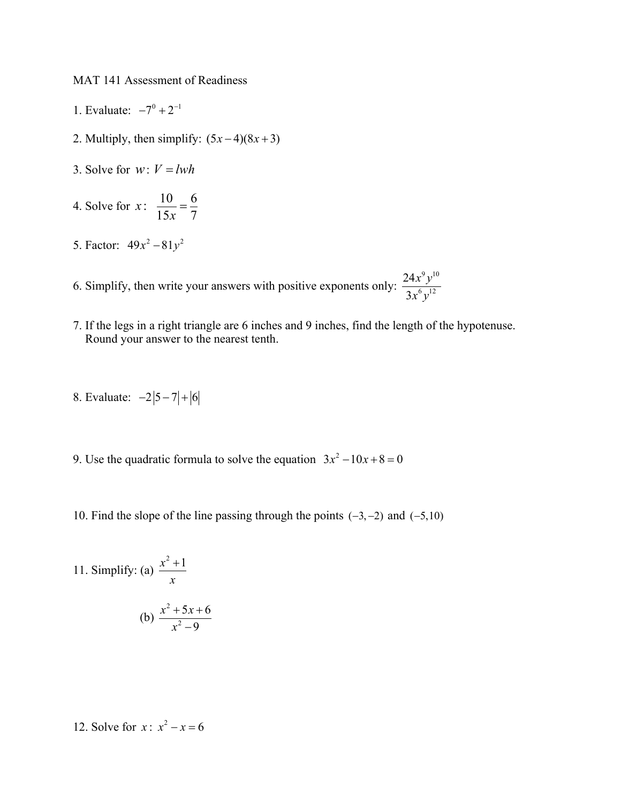MAT 141 Assessment of Readiness

- 1. Evaluate:  $-7^0 + 2^{-1}$
- 2. Multiply, then simplify:  $(5x-4)(8x+3)$
- 3. Solve for  $w: V = lwh$
- 4. Solve for  $x: \ \frac{10}{15} = \frac{6}{5}$  $15x - 7$  $x: \frac{16}{15x} =$
- 5. Factor:  $49x^2 81y^2$
- 6. Simplify, then write your answers with positive exponents only:  $9,10$  $6, 12$ 24 3 *x y x y*
- 7. If the legs in a right triangle are 6 inches and 9 inches, find the length of the hypotenuse. Round your answer to the nearest tenth.
- 8. Evaluate:  $-2|5-7|+|6$
- 9. Use the quadratic formula to solve the equation  $3x^2 10x + 8 = 0$
- 10. Find the slope of the line passing through the points  $(-3, -2)$  and  $(-5, 10)$

11. Simplify: (a) 
$$
\frac{x^2 + 1}{x}
$$
  
(b)  $\frac{x^2 + 5x + 6}{x^2 - 9}$ 

12. Solve for  $x: x^2 - x = 6$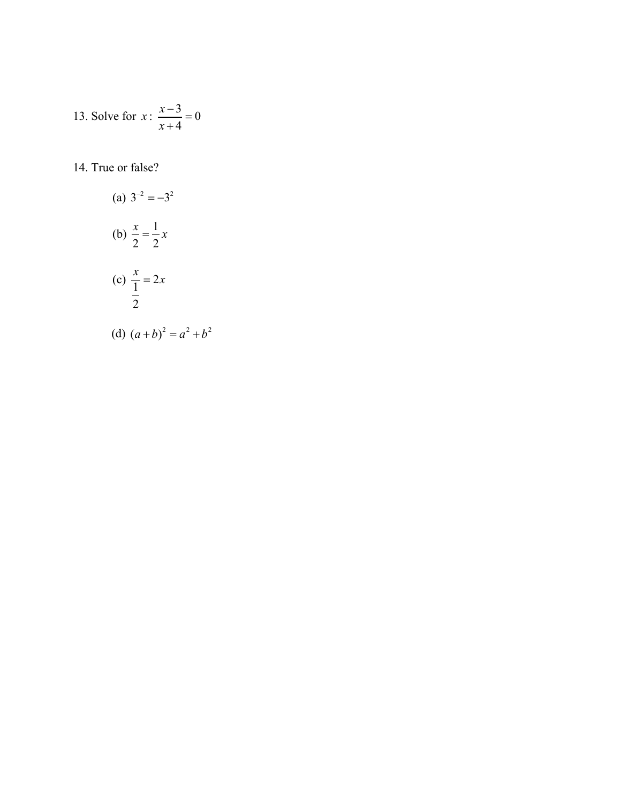13. Solve for 
$$
x : \frac{x-3}{x+4} = 0
$$

## 14. True or false?

(a) 
$$
3^{-2} = -3^2
$$
  
\n(b)  $\frac{x}{2} = \frac{1}{2}x$   
\n(c)  $\frac{x}{\frac{1}{2}} = 2x$   
\n(d)  $(a+b)^2 = a^2 + b^2$